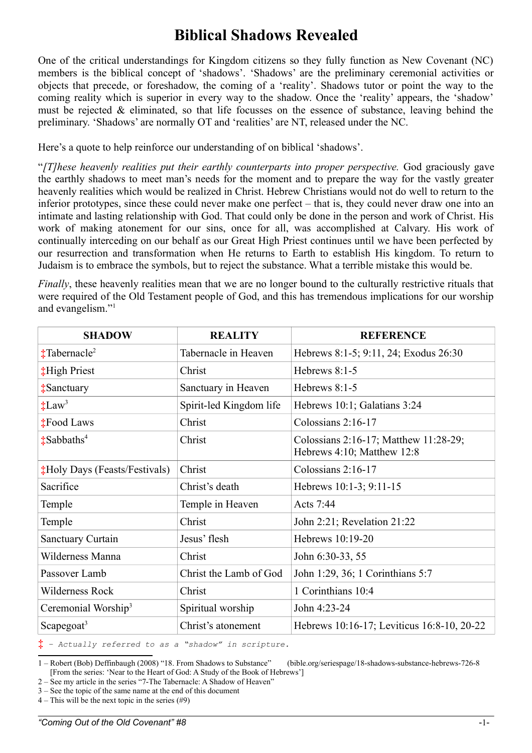# **Biblical Shadows Revealed**

One of the critical understandings for Kingdom citizens so they fully function as New Covenant (NC) members is the biblical concept of 'shadows'. 'Shadows' are the preliminary ceremonial activities or objects that precede, or foreshadow, the coming of a 'reality'. Shadows tutor or point the way to the coming reality which is superior in every way to the shadow. Once the 'reality' appears, the 'shadow' must be rejected & eliminated, so that life focusses on the essence of substance, leaving behind the preliminary. 'Shadows' are normally OT and 'realities' are NT, released under the NC.

Here's a quote to help reinforce our understanding of on biblical 'shadows'.

"*[T]hese heavenly realities put their earthly counterparts into proper perspective.* God graciously gave the earthly shadows to meet man's needs for the moment and to prepare the way for the vastly greater heavenly realities which would be realized in Christ. Hebrew Christians would not do well to return to the inferior prototypes, since these could never make one perfect – that is, they could never draw one into an intimate and lasting relationship with God. That could only be done in the person and work of Christ. His work of making atonement for our sins, once for all, was accomplished at Calvary. His work of continually interceding on our behalf as our Great High Priest continues until we have been perfected by our resurrection and transformation when He returns to Earth to establish His kingdom. To return to Judaism is to embrace the symbols, but to reject the substance. What a terrible mistake this would be.

*Finally*, these heavenly realities mean that we are no longer bound to the culturally restrictive rituals that were required of the Old Testament people of God, and this has tremendous implications for our worship and evangelism."<sup>[1](#page-0-0)</sup>

| <b>SHADOW</b>                        | <b>REALITY</b>          | <b>REFERENCE</b>                                                    |
|--------------------------------------|-------------------------|---------------------------------------------------------------------|
| $\ddagger$ Tabernacle <sup>2</sup>   | Tabernacle in Heaven    | Hebrews 8:1-5; 9:11, 24; Exodus 26:30                               |
| <b>High Priest</b>                   | Christ                  | Hebrews 8:1-5                                                       |
| <b>‡Sanctuary</b>                    | Sanctuary in Heaven     | Hebrews 8:1-5                                                       |
| $\ddagger$ Law <sup>3</sup>          | Spirit-led Kingdom life | Hebrews 10:1; Galatians 3:24                                        |
| <b>‡Food Laws</b>                    | Christ                  | Colossians $2:16-17$                                                |
| $\frac{1}{2}$ Sabbaths <sup>4</sup>  | Christ                  | Colossians 2:16-17; Matthew 11:28-29;<br>Hebrews 4:10; Matthew 12:8 |
| <b>‡Holy Days (Feasts/Festivals)</b> | Christ                  | Colossians 2:16-17                                                  |
| Sacrifice                            | Christ's death          | Hebrews 10:1-3; 9:11-15                                             |
| Temple                               | Temple in Heaven        | Acts 7:44                                                           |
| Temple                               | Christ                  | John 2:21; Revelation 21:22                                         |
| <b>Sanctuary Curtain</b>             | Jesus' flesh            | Hebrews 10:19-20                                                    |
| Wilderness Manna                     | Christ                  | John 6:30-33, 55                                                    |
| Passover Lamb                        | Christ the Lamb of God  | John 1:29, 36; 1 Corinthians 5:7                                    |
| Wilderness Rock                      | Christ                  | 1 Corinthians 10:4                                                  |
| Ceremonial Worship <sup>3</sup>      | Spiritual worship       | John 4:23-24                                                        |
| Scapegoat <sup>3</sup>               | Christ's atonement      | Hebrews 10:16-17; Leviticus 16:8-10, 20-22                          |

**‡** *– Actually referred to as a "shadow" in scripture.*

<span id="page-0-3"></span> $4 -$ This will be the next topic in the series (#9)

<span id="page-0-0"></span><sup>1 –</sup> Robert (Bob) Deffinbaugh (2008) "18. From Shadows to Substance" (bible.org/seriespage/18-shadows-substance-hebrews-726-8 [From the series: 'Near to the Heart of God: A Study of the Book of Hebrews']

<span id="page-0-1"></span><sup>2 –</sup> See my article in the series "7-The Tabernacle: A Shadow of Heaven"

<span id="page-0-2"></span><sup>3 –</sup> See the topic of the same name at the end of this document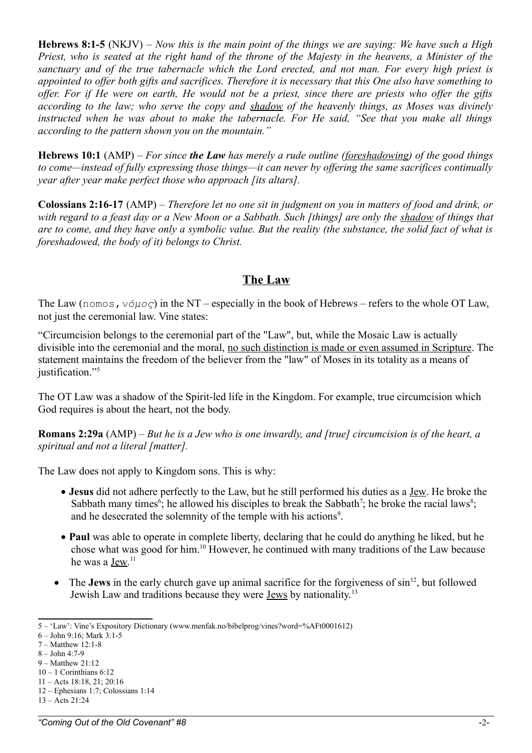**Hebrews 8:1-5** (NKJV) – *Now this is the main point of the things we are saying: We have such a High Priest, who is seated at the right hand of the throne of the Majesty in the heavens, a Minister of the sanctuary and of the true tabernacle which the Lord erected, and not man. For every high priest is appointed to offer both gifts and sacrifices. Therefore it is necessary that this One also have something to offer. For if He were on earth, He would not be a priest, since there are priests who offer the gifts according to the law; who serve the copy and shadow of the heavenly things, as Moses was divinely instructed when he was about to make the tabernacle. For He said, "See that you make all things according to the pattern shown you on the mountain."*

**Hebrews 10:1** (AMP) – *For since the Law has merely a rude outline (foreshadowing) of the good things to come—instead of fully expressing those things—it can never by offering the same sacrifices continually year after year make perfect those who approach [its altars].*

**Colossians 2:16-17** (AMP) – *Therefore let no one sit in judgment on you in matters of food and drink, or with regard to a feast day or a New Moon or a Sabbath. Such [things] are only the shadow of things that are to come, and they have only a symbolic value. But the reality (the substance, the solid fact of what is foreshadowed, the body of it) belongs to Christ.*

### **The Law**

The Law (nomos,*νόμος*) in the NT – especially in the book of Hebrews – refers to the whole OT Law, not just the ceremonial law. Vine states:

"Circumcision belongs to the ceremonial part of the "Law", but, while the Mosaic Law is actually divisible into the ceremonial and the moral, no such distinction is made or even assumed in Scripture. The statement maintains the freedom of the believer from the "law" of Moses in its totality as a means of justification."<sup>[5](#page-1-0)</sup>

The OT Law was a shadow of the Spirit-led life in the Kingdom. For example, true circumcision which God requires is about the heart, not the body.

**Romans 2:29a** (AMP) – *But he is a Jew who is one inwardly, and [true] circumcision is of the heart, a spiritual and not a literal [matter].*

The Law does not apply to Kingdom sons. This is why:

- **Jesus** did not adhere perfectly to the Law, but he still performed his duties as a Jew. He broke the Sabbath many times<sup>[6](#page-1-1)</sup>; he allowed his disciples to break the Sabbath<sup>[7](#page-1-2)</sup>; he broke the racial laws<sup>[8](#page-1-3)</sup>; and he desecrated the solemnity of the temple with his actions<sup>[9](#page-1-4)</sup>.
- **Paul** was able to operate in complete liberty, declaring that he could do anything he liked, but he chose what was good for him.[10](#page-1-5) However, he continued with many traditions of the Law because he was a <u>Jew</u>.<sup>[11](#page-1-6)</sup>
- $\bullet$  The **Jews** in the early church gave up animal sacrifice for the forgiveness of  $\sin^{12}$  $\sin^{12}$  $\sin^{12}$ , but followed Jewish Law and traditions because they were Jews by nationality.[13](#page-1-8)

<span id="page-1-0"></span><sup>5 – &#</sup>x27;Law': Vine's Expository Dictionary (www.menfak.no/bibelprog/vines?word=%AFt0001612)

<span id="page-1-1"></span><sup>6 –</sup> John 9:16; Mark 3:1-5

<span id="page-1-2"></span><sup>7 –</sup> Matthew 12:1-8

<span id="page-1-3"></span><sup>8 –</sup> John 4:7-9

<span id="page-1-4"></span><sup>9 –</sup> Matthew 21:12

<span id="page-1-5"></span> $10 - 1$  Corinthians 6:12

<span id="page-1-6"></span><sup>11 –</sup> Acts 18:18, 21; 20:16 12 – Ephesians 1:7; Colossians 1:14

<span id="page-1-8"></span><span id="page-1-7"></span><sup>13 –</sup> Acts 21:24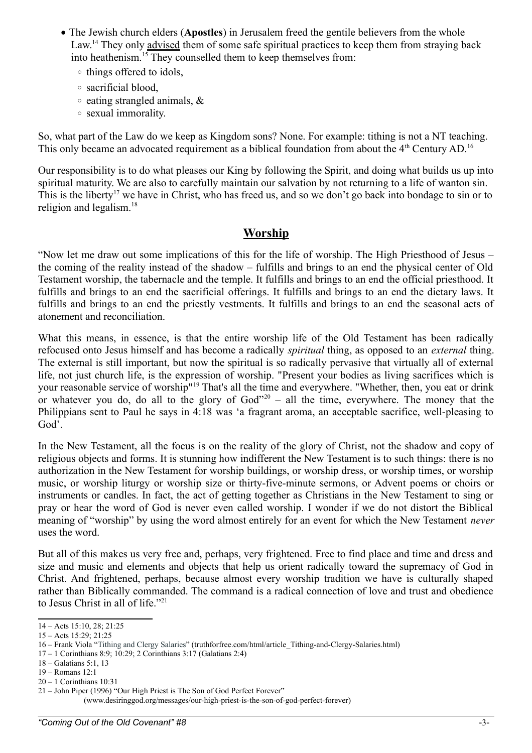- The Jewish church elders (**Apostles**) in Jerusalem freed the gentile believers from the whole Law.<sup>[14](#page-2-0)</sup> They only advised them of some safe spiritual practices to keep them from straying back into heathenism.[15](#page-2-1) They counselled them to keep themselves from:
	- things offered to idols,
	- sacrificial blood,
	- eating strangled animals, &
	- sexual immorality.

So, what part of the Law do we keep as Kingdom sons? None. For example: tithing is not a NT teaching. This only became an advocated requirement as a biblical foundation from about the 4<sup>th</sup> Century AD.<sup>[16](#page-2-2)</sup>

Our responsibility is to do what pleases our King by following the Spirit, and doing what builds us up into spiritual maturity. We are also to carefully maintain our salvation by not returning to a life of wanton sin. This is the liberty<sup>[17](#page-2-3)</sup> we have in Christ, who has freed us, and so we don't go back into bondage to sin or to religion and legalism.[18](#page-2-4)

## **Worship**

"Now let me draw out some implications of this for the life of worship. The High Priesthood of Jesus – the coming of the reality instead of the shadow – fulfills and brings to an end the physical center of Old Testament worship, the tabernacle and the temple. It fulfills and brings to an end the official priesthood. It fulfills and brings to an end the sacrificial offerings. It fulfills and brings to an end the dietary laws. It fulfills and brings to an end the priestly vestments. It fulfills and brings to an end the seasonal acts of atonement and reconciliation.

What this means, in essence, is that the entire worship life of the Old Testament has been radically refocused onto Jesus himself and has become a radically *spiritual* thing, as opposed to an *external* thing. The external is still important, but now the spiritual is so radically pervasive that virtually all of external life, not just church life, is the expression of worship. "Present your bodies as living sacrifices which is your reasonable service of worship"[19](#page-2-5) That's all the time and everywhere. "Whether, then, you eat or drink or whatever you do, do all to the glory of  $God^{\prime\prime\prime0}$  – all the time, everywhere. The money that the Philippians sent to Paul he says in 4:18 was 'a fragrant aroma, an acceptable sacrifice, well-pleasing to God'.

In the New Testament, all the focus is on the reality of the glory of Christ, not the shadow and copy of religious objects and forms. It is stunning how indifferent the New Testament is to such things: there is no authorization in the New Testament for worship buildings, or worship dress, or worship times, or worship music, or worship liturgy or worship size or thirty-five-minute sermons, or Advent poems or choirs or instruments or candles. In fact, the act of getting together as Christians in the New Testament to sing or pray or hear the word of God is never even called worship. I wonder if we do not distort the Biblical meaning of "worship" by using the word almost entirely for an event for which the New Testament *never* uses the word.

But all of this makes us very free and, perhaps, very frightened. Free to find place and time and dress and size and music and elements and objects that help us orient radically toward the supremacy of God in Christ. And frightened, perhaps, because almost every worship tradition we have is culturally shaped rather than Biblically commanded. The command is a radical connection of love and trust and obedience to Jesus Christ in all of life."[21](#page-2-7)

- <span id="page-2-4"></span>18 – Galatians 5:1, 13
- <span id="page-2-5"></span>19 – Romans 12:1

<span id="page-2-0"></span><sup>14 –</sup> Acts 15:10, 28; 21:25

<span id="page-2-1"></span><sup>15 –</sup> Acts 15:29; 21:25

<span id="page-2-2"></span><sup>16 –</sup> Frank Viola "Tithing and Clergy Salaries" (truthforfree.com/html/article\_Tithing-and-Clergy-Salaries.html)

<span id="page-2-3"></span><sup>17 – 1</sup> Corinthians 8:9; 10:29; 2 Corinthians 3:17 (Galatians 2:4)

<span id="page-2-6"></span><sup>20 – 1</sup> Corinthians 10:31

<span id="page-2-7"></span><sup>21 –</sup> John Piper (1996) "Our High Priest is The Son of God Perfect Forever"

 <sup>(</sup>www.desiringgod.org/messages/our-high-priest-is-the-son-of-god-perfect-forever)